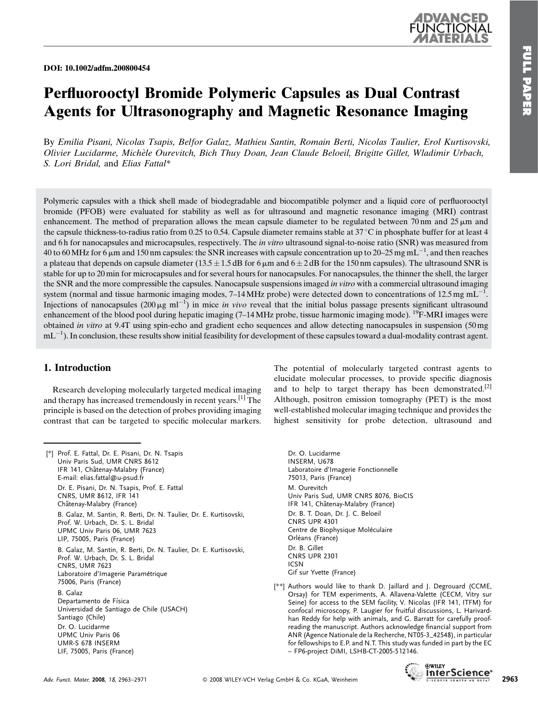DOI: 10.1002/adfm.200800454



# Perfluorooctyl Bromide Polymeric Capsules as Dual Contrast Agents for Ultrasonography and Magnetic Resonance Imaging

By Emilia Pisani, Nicolas Tsapis, Belfor Galaz, Mathieu Santin, Romain Berti, Nicolas Taulier, Erol Kurtisovski, Olivier Lucidarme, Miche`le Ourevitch, Bich Thuy Doan, Jean Claude Beloeil, Brigitte Gillet, Wladimir Urbach, S. Lori Bridal, and Elias Fattal\*

Polymeric capsules with a thick shell made of biodegradable and biocompatible polymer and a liquid core of perfluorooctyl bromide (PFOB) were evaluated for stability as well as for ultrasound and magnetic resonance imaging (MRI) contrast enhancement. The method of preparation allows the mean capsule diameter to be regulated between 70 nm and 25  $\mu$ m and the capsule thickness-to-radius ratio from 0.25 to 0.54. Capsule diameter remains stable at  $37^{\circ}$ C in phosphate buffer for at least 4 and 6 h for nanocapsules and microcapsules, respectively. The *in vitro* ultrasound signal-to-noise ratio (SNR) was measured from 40 to 60 MHz for 6 µm and 150 nm capsules: the SNR increases with capsule concentration up to 20–25 mg mL $^{-1}$ , and then reaches a plateau that depends on capsule diameter (13.5  $\pm$  1.5 dB for 6  $\mu$ m and 6  $\pm$  2 dB for the 150 nm capsules). The ultrasound SNR is stable for up to 20 min for microcapsules and for several hours for nanocapsules. For nanocapsules, the thinner the shell, the larger the SNR and the more compressible the capsules. Nanocapsule suspensions imaged in vitro with a commercial ultrasound imaging system (normal and tissue harmonic imaging modes, 7–14 MHz probe) were detected down to concentrations of 12.5 mg mL<sup>-1</sup>. Injections of nanocapsules (200  $\mu$ g ml<sup>-1</sup>) in mice *in vivo* reveal that the initial bolus passage presents significant ultrasound enhancement of the blood pool during hepatic imaging  $(7-14 \text{ MHz})$  probe, tissue harmonic imaging mode). <sup>19</sup>F-MRI images were obtained in vitro at 9.4T using spin-echo and gradient echo sequences and allow detecting nanocapsules in suspension (50 mg  $mL^{-1}$ ). In conclusion, these results show initial feasibility for development of these capsules toward a dual-modality contrast agent.

# 1. Introduction

Research developing molecularly targeted medical imaging and therapy has increased tremendously in recent years.[1] The principle is based on the detection of probes providing imaging contrast that can be targeted to specific molecular markers.

[\*] Prof. E. Fattal, Dr. E. Pisani, Dr. N. Tsapis Univ Paris Sud, UMR CNRS 8612 IFR 141, Châtenay-Malabry (France) E-mail: elias.fattal@u-psud.fr Dr. E. Pisani, Dr. N. Tsapis, Prof. E. Fattal CNRS, UMR 8612, IFR 141 Châtenay-Malabry (France) B. Galaz, M. Santin, R. Berti, Dr. N. Taulier, Dr. E. Kurtisovski, Prof. W. Urbach, Dr. S. L. Bridal UPMC Univ Paris 06, UMR 7623 LIP, 75005, Paris (France) B. Galaz, M. Santin, R. Berti, Dr. N. Taulier, Dr. E. Kurtisovski, Prof. W. Urbach, Dr. S. L. Bridal CNRS, UMR 7623 Laboratoire d'Imagerie Paramétrique 75006, Paris (France) B. Galaz Departamento de Física Universidad de Santiago de Chile (USACH) Santiago (Chile) Dr. O. Lucidarme UPMC Univ Paris 06 UMR-S 678 INSERM LIF, 75005, Paris (France)

The potential of molecularly targeted contrast agents to elucidate molecular processes, to provide specific diagnosis and to help to target therapy has been demonstrated.<sup>[2]</sup> Although, positron emission tomography (PET) is the most well-established molecular imaging technique and provides the highest sensitivity for probe detection, ultrasound and

- Dr. O. Lucidarme INSERM, U678 Laboratoire d'Imagerie Fonctionnelle 75013, Paris (France) M. Ourevitch Univ Paris Sud, UMR CNRS 8076, BioCIS IFR 141, Châtenay-Malabry (France) Dr. B. T. Doan, Dr. J. C. Beloeil CNRS UPR 4301 Centre de Biophysique Moléculaire Orléans (France) Dr. B. Gillet CNRS UPR 2301 ICSN Gif sur Yvette (France)
- [\*\*] Authors would like to thank D. Jaillard and J. Degrouard (CCME, Orsay) for TEM experiments, A. Allavena-Valette (CECM, Vitry sur Seine) for access to the SEM facility, V. Nicolas (IFR 141, ITFM) for confocal microscopy, P. Laugier for fruitful discussions, L. Harivardhan Reddy for help with animals, and G. Barratt for carefully proofreading the manuscript. Authors acknowledge financial support from ANR (Agence Nationale de la Recherche, NT05-3\_42548), in particular for fellowships to E.P. and N.T. This study was funded in part by the EC – FP6-project DiMI, LSHB-CT-2005-512146.

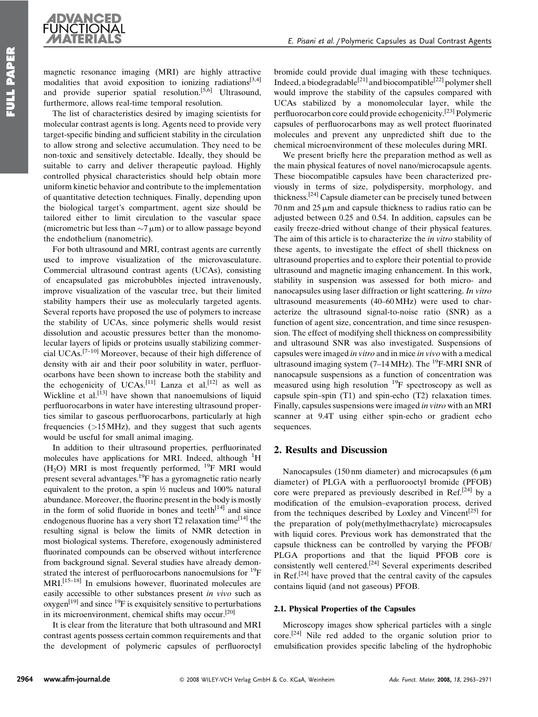

magnetic resonance imaging (MRI) are highly attractive modalities that avoid exposition to ionizing radiations<sup>[3,4]</sup> and provide superior spatial resolution.[5,6] Ultrasound, furthermore, allows real-time temporal resolution.

The list of characteristics desired by imaging scientists for molecular contrast agents is long. Agents need to provide very target-specific binding and sufficient stability in the circulation to allow strong and selective accumulation. They need to be non-toxic and sensitively detectable. Ideally, they should be suitable to carry and deliver therapeutic payload. Highly controlled physical characteristics should help obtain more uniform kinetic behavior and contribute to the implementation of quantitative detection techniques. Finally, depending upon the biological target's compartment, agent size should be tailored either to limit circulation to the vascular space (micrometric but less than  $\sim$ 7  $\mu$ m) or to allow passage beyond the endothelium (nanometric).

For both ultrasound and MRI, contrast agents are currently used to improve visualization of the microvasculature. Commercial ultrasound contrast agents (UCAs), consisting of encapsulated gas microbubbles injected intravenously, improve visualization of the vascular tree, but their limited stability hampers their use as molecularly targeted agents. Several reports have proposed the use of polymers to increase the stability of UCAs, since polymeric shells would resist dissolution and acoustic pressures better than the monomolecular layers of lipids or proteins usually stabilizing commercial UCAs.[7–10] Moreover, because of their high difference of density with air and their poor solubility in water, perfluorocarbons have been shown to increase both the stability and the echogenicity of UCAs.<sup>[11]</sup> Lanza et al.<sup>[12]</sup> as well as Wickline et al.<sup>[13]</sup> have shown that nanoemulsions of liquid perfluorocarbons in water have interesting ultrasound properties similar to gaseous perfluorocarbons, particularly at high frequencies  $(>15 \text{ MHz})$ , and they suggest that such agents would be useful for small animal imaging.

In addition to their ultrasound properties, perfluorinated molecules have applications for MRI. Indeed, although <sup>1</sup>H (H<sub>2</sub>O) MRI is most frequently performed, <sup>19</sup>F MRI would present several advantages.<sup>19</sup>F has a gyromagnetic ratio nearly equivalent to the proton, a spin ½ nucleus and 100% natural abundance. Moreover, the fluorine present in the body is mostly in the form of solid fluoride in bones and teeth $[14]$  and since endogenous fluorine has a very short  $T2$  relaxation time<sup>[14]</sup> the resulting signal is below the limits of NMR detection in most biological systems. Therefore, exogenously administered fluorinated compounds can be observed without interference from background signal. Several studies have already demonstrated the interest of perfluorocarbons nanoemulsions for  $^{19}F$ MRI.<sup>[15–18]</sup> In emulsions however, fluorinated molecules are easily accessible to other substances present in vivo such as  $oxygen<sup>[19]</sup>$  and since <sup>19</sup>F is exquisitely sensitive to perturbations in its microenvironment, chemical shifts may occur.[20]

It is clear from the literature that both ultrasound and MRI contrast agents possess certain common requirements and that the development of polymeric capsules of perfluoroctyl

bromide could provide dual imaging with these techniques. Indeed, a biodegradable<sup>[21]</sup> and biocompatible<sup>[22]</sup> polymer shell would improve the stability of the capsules compared with UCAs stabilized by a monomolecular layer, while the perfluorocarbon core could provide echogenicity.[23] Polymeric capsules of perfluorocarbons may as well protect fluorinated molecules and prevent any unpredicted shift due to the chemical microenvironment of these molecules during MRI.

We present briefly here the preparation method as well as the main physical features of novel nano/microcapsule agents. These biocompatible capsules have been characterized previously in terms of size, polydispersity, morphology, and thickness.[24] Capsule diameter can be precisely tuned between  $70 \text{ nm}$  and  $25 \mu \text{m}$  and capsule thickness to radius ratio can be adjusted between 0.25 and 0.54. In addition, capsules can be easily freeze-dried without change of their physical features. The aim of this article is to characterize the *in vitro* stability of these agents, to investigate the effect of shell thickness on ultrasound properties and to explore their potential to provide ultrasound and magnetic imaging enhancement. In this work, stability in suspension was assessed for both micro- and nanocapsules using laser diffraction or light scattering. In vitro ultrasound measurements (40–60 MHz) were used to characterize the ultrasound signal-to-noise ratio (SNR) as a function of agent size, concentration, and time since resuspension. The effect of modifying shell thickness on compressibility and ultrasound SNR was also investigated. Suspensions of capsules were imaged in vitro and in mice in vivo with a medical ultrasound imaging system  $(7-14 \text{ MHz})$ . The <sup>19</sup>F-MRI SNR of nanocapsule suspensions as a function of concentration was measured using high resolution  $^{19}F$  spectroscopy as well as capsule spin–spin (T1) and spin-echo (T2) relaxation times. Finally, capsules suspensions were imaged in vitro with an MRI scanner at 9.4T using either spin-echo or gradient echo sequences.

# 2. Results and Discussion

Nanocapsules (150 nm diameter) and microcapsules ( $6 \mu$ m diameter) of PLGA with a perfluorooctyl bromide (PFOB) core were prepared as previously described in Ref.<sup>[24]</sup> by a modification of the emulsion–evaporation process, derived from the techniques described by Loxley and Vincent<sup>[25]</sup> for the preparation of poly(methylmethacrylate) microcapsules with liquid cores. Previous work has demonstrated that the capsule thickness can be controlled by varying the PFOB/ PLGA proportions and that the liquid PFOB core is consistently well centered.[24] Several experiments described in Ref.<sup>[24]</sup> have proved that the central cavity of the capsules contains liquid (and not gaseous) PFOB.

### 2.1. Physical Properties of the Capsules

Microscopy images show spherical particles with a single  $\text{core.}^{[24]}$  Nile red added to the organic solution prior to emulsification provides specific labeling of the hydrophobic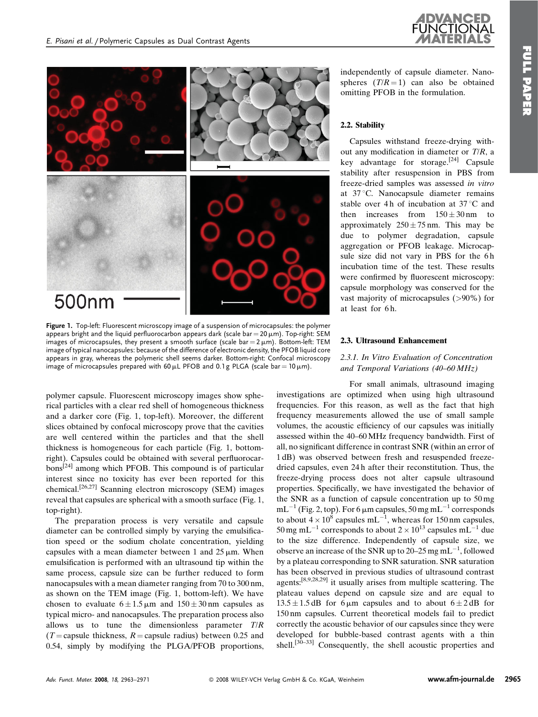

Figure 1. Top-left: Fluorescent microscopy image of a suspension of microcapsules: the polymer appears bright and the liquid perfluorocarbon appears dark (scale bar = 20  $\mu$ m). Top-right: SEM images of microcapsules, they present a smooth surface (scale  $bar = 2 \mu m$ ). Bottom-left: TEM image of typical nanocapsules: because of the difference of electronic density, the PFOB liquid core appears in gray, whereas the polymeric shell seems darker. Bottom-right: Confocal microscopy image of microcapsules prepared with 60  $\mu$ L PFOB and 0.1 g PLGA (scale bar = 10  $\mu$ m).

polymer capsule. Fluorescent microscopy images show spherical particles with a clear red shell of homogeneous thickness and a darker core (Fig. 1, top-left). Moreover, the different slices obtained by confocal microscopy prove that the cavities are well centered within the particles and that the shell thickness is homogeneous for each particle (Fig. 1, bottomright). Capsules could be obtained with several perfluorocarbons[24] among which PFOB. This compound is of particular interest since no toxicity has ever been reported for this chemical.[26,27] Scanning electron microscopy (SEM) images reveal that capsules are spherical with a smooth surface (Fig. 1, top-right).

The preparation process is very versatile and capsule diameter can be controlled simply by varying the emulsification speed or the sodium cholate concentration, yielding capsules with a mean diameter between 1 and  $25 \mu m$ . When emulsification is performed with an ultrasound tip within the same process, capsule size can be further reduced to form nanocapsules with a mean diameter ranging from 70 to 300 nm, as shown on the TEM image (Fig. 1, bottom-left). We have chosen to evaluate  $6 \pm 1.5 \,\mu\text{m}$  and  $150 \pm 30 \,\text{nm}$  capsules as typical micro- and nanocapsules. The preparation process also allows us to tune the dimensionless parameter T/R  $(T = \text{capsul}$  thickness,  $R = \text{capsul}$  radius) between 0.25 and 0.54, simply by modifying the PLGA/PFOB proportions,

independently of capsule diameter. Nanospheres  $(T/R = 1)$  can also be obtained omitting PFOB in the formulation.

### 2.2. Stability

Capsules withstand freeze-drying without any modification in diameter or  $T/R$ , a key advantage for storage. $[24]$  Capsule stability after resuspension in PBS from freeze-dried samples was assessed in vitro at 37 °C. Nanocapsule diameter remains stable over 4h of incubation at  $37^{\circ}$ C and then increases from  $150 \pm 30$  nm to approximately  $250 \pm 75$  nm. This may be due to polymer degradation, capsule aggregation or PFOB leakage. Microcapsule size did not vary in PBS for the 6 h incubation time of the test. These results were confirmed by fluorescent microscopy: capsule morphology was conserved for the vast majority of microcapsules (>90%) for at least for 6 h.

### 2.3. Ultrasound Enhancement

### 2.3.1. In Vitro Evaluation of Concentration and Temporal Variations (40–60 MHz)

For small animals, ultrasound imaging investigations are optimized when using high ultrasound frequencies. For this reason, as well as the fact that high frequency measurements allowed the use of small sample volumes, the acoustic efficiency of our capsules was initially assessed within the 40–60 MHz frequency bandwidth. First of all, no significant difference in contrast SNR (within an error of 1 dB) was observed between fresh and resuspended freezedried capsules, even 24 h after their reconstitution. Thus, the freeze-drying process does not alter capsule ultrasound properties. Specifically, we have investigated the behavior of the SNR as a function of capsule concentration up to 50 mg  $mL^{-1}$  (Fig. 2, top). For 6  $\mu$ m capsules, 50 mg mL<sup>-1</sup> corresponds to about  $4 \times 10^8$  capsules mL<sup>-1</sup>, whereas for 150 nm capsules, 50 mg mL<sup>-1</sup> corresponds to about  $2 \times 10^{13}$  capsules mL<sup>-1</sup> due to the size difference. Independently of capsule size, we observe an increase of the SNR up to 20–25 mg mL $^{-1}$ , followed by a plateau corresponding to SNR saturation. SNR saturation has been observed in previous studies of ultrasound contrast agents:[8,9,28,29] it usually arises from multiple scattering. The plateau values depend on capsule size and are equal to  $13.5 \pm 1.5$  dB for 6  $\mu$ m capsules and to about 6  $\pm$  2 dB for 150 nm capsules. Current theoretical models fail to predict correctly the acoustic behavior of our capsules since they were developed for bubble-based contrast agents with a thin shell.<sup>[30–33]</sup> Consequently, the shell acoustic properties and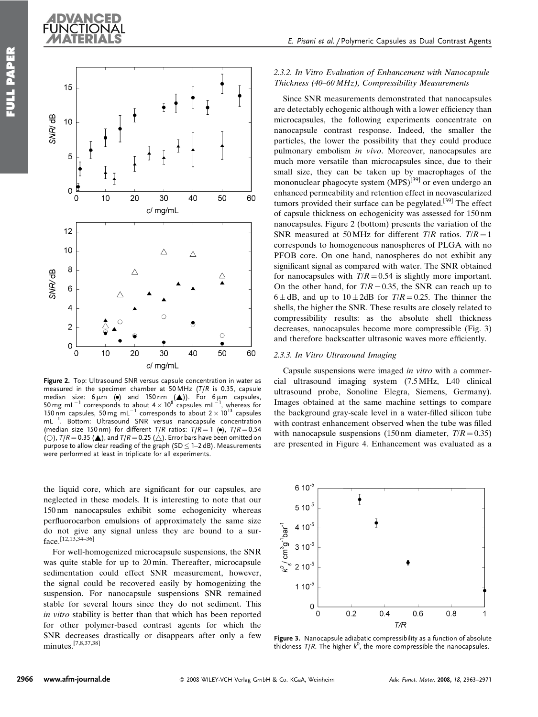

Figure 2. Top: Ultrasound SNR versus capsule concentration in water as measured in the specimen chamber at 50 MHz (T/R is 0.35, capsule median size:  $6 \mu m$  ( $\bullet$ ) and 150nm ( $\blacktriangle$ )). For  $6 \mu m$  capsules, 50 mg mL<sup>-1</sup> corresponds to about 4  $\times$  10<sup>8</sup> capsules mL<sup>-1</sup>, whereas for<br>150 nm capsules, 50 mg mL<sup>-1</sup> corresponds to about 2  $\times$  10<sup>13</sup> capsules mL<sup>-1</sup>. Bottom: Ultrasound SNR versus nanocapsule concentration (median size 150 nm) for different  $T/R$  ratios:  $T/R = 1$  ( $\bullet$ ),  $T/R = 0.54$ (O),  $T/R = 0.35$  ( $\triangle$ ), and  $T/R = 0.25$  ( $\triangle$ ). Error bars have been omitted on purpose to allow clear reading of the graph (SD  $\leq$  1–2 dB). Measurements were performed at least in triplicate for all experiments.

the liquid core, which are significant for our capsules, are neglected in these models. It is interesting to note that our 150 nm nanocapsules exhibit some echogenicity whereas perfluorocarbon emulsions of approximately the same size do not give any signal unless they are bound to a surface.[12,13,34–36]

For well-homogenized microcapsule suspensions, the SNR was quite stable for up to 20 min. Thereafter, microcapsule sedimentation could effect SNR measurement, however, the signal could be recovered easily by homogenizing the suspension. For nanocapsule suspensions SNR remained stable for several hours since they do not sediment. This in vitro stability is better than that which has been reported for other polymer-based contrast agents for which the SNR decreases drastically or disappears after only a few minutes.[7,8,37,38]

# 2.3.2. In Vitro Evaluation of Enhancement with Nanocapsule Thickness (40–60 MHz), Compressibility Measurements

Since SNR measurements demonstrated that nanocapsules are detectably echogenic although with a lower efficiency than microcapsules, the following experiments concentrate on nanocapsule contrast response. Indeed, the smaller the particles, the lower the possibility that they could produce pulmonary embolism in vivo. Moreover, nanocapsules are much more versatile than microcapsules since, due to their small size, they can be taken up by macrophages of the mononuclear phagocyte system (MPS)<sup>[39]</sup> or even undergo an enhanced permeability and retention effect in neovascularized tumors provided their surface can be pegylated.<sup>[39]</sup> The effect of capsule thickness on echogenicity was assessed for 150 nm nanocapsules. Figure 2 (bottom) presents the variation of the SNR measured at 50 MHz for different  $T/R$  ratios.  $T/R = 1$ corresponds to homogeneous nanospheres of PLGA with no PFOB core. On one hand, nanospheres do not exhibit any significant signal as compared with water. The SNR obtained for nanocapsules with  $T/R = 0.54$  is slightly more important. On the other hand, for  $T/R = 0.35$ , the SNR can reach up to  $6 \pm dB$ , and up to  $10 \pm 2dB$  for  $T/R = 0.25$ . The thinner the shells, the higher the SNR. These results are closely related to compressibility results: as the absolute shell thickness decreases, nanocapsules become more compressible (Fig. 3) and therefore backscatter ultrasonic waves more efficiently.

### 2.3.3. In Vitro Ultrasound Imaging

Capsule suspensions were imaged in vitro with a commercial ultrasound imaging system (7.5 MHz, L40 clinical ultrasound probe, Sonoline Elegra, Siemens, Germany). Images obtained at the same machine settings to compare the background gray-scale level in a water-filled silicon tube with contrast enhancement observed when the tube was filled with nanocapsule suspensions (150 nm diameter,  $T/R = 0.35$ ) are presented in Figure 4. Enhancement was evaluated as a



Figure 3. Nanocapsule adiabatic compressibility as a function of absolute thickness  $T/R$ . The higher  $k^0$ , the more compressible the nanocapsules.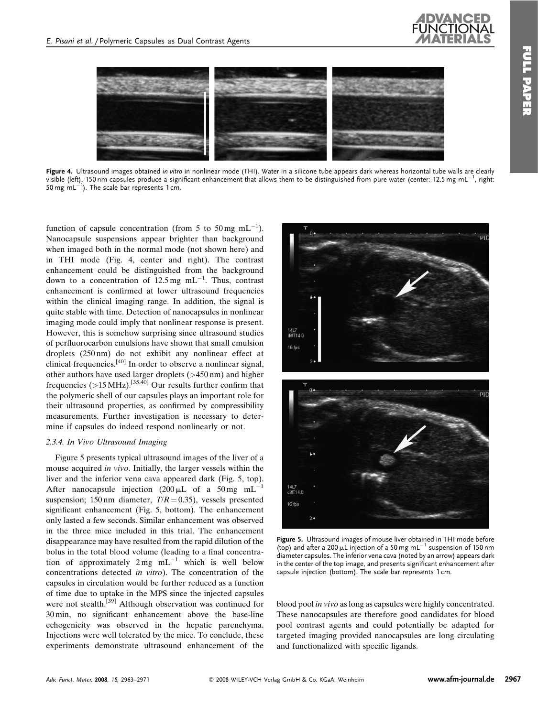

Figure 4. Ultrasound images obtained in vitro in nonlinear mode (THI). Water in a silicone tube appears dark whereas horizontal tube walls are clearly visible (left). 150nm capsules produce a significant enhancement that allows them to be distinguished from pure water (center: 12.5 mg mL $^{-1}$ , right: 50 mg mL $^{-1}$ ). The scale bar represents 1 cm.

function of capsule concentration (from 5 to 50 mg mL<sup>-1</sup>). Nanocapsule suspensions appear brighter than background when imaged both in the normal mode (not shown here) and in THI mode (Fig. 4, center and right). The contrast enhancement could be distinguished from the background down to a concentration of 12.5 mg mL<sup>-1</sup>. Thus, contrast enhancement is confirmed at lower ultrasound frequencies within the clinical imaging range. In addition, the signal is quite stable with time. Detection of nanocapsules in nonlinear imaging mode could imply that nonlinear response is present. However, this is somehow surprising since ultrasound studies of perfluorocarbon emulsions have shown that small emulsion droplets (250 nm) do not exhibit any nonlinear effect at clinical frequencies.[40] In order to observe a nonlinear signal, other authors have used larger droplets (>450 nm) and higher frequencies ( $>15$  MHz).<sup>[35,40]</sup> Our results further confirm that the polymeric shell of our capsules plays an important role for their ultrasound properties, as confirmed by compressibility measurements. Further investigation is necessary to determine if capsules do indeed respond nonlinearly or not.

### 2.3.4. In Vivo Ultrasound Imaging

Figure 5 presents typical ultrasound images of the liver of a mouse acquired *in vivo*. Initially, the larger vessels within the liver and the inferior vena cava appeared dark (Fig. 5, top). After nanocapsule injection  $(200 \,\mu L)$  of a 50 mg mL<sup>-1</sup> suspension; 150 nm diameter,  $T/R = 0.35$ ), vessels presented significant enhancement (Fig. 5, bottom). The enhancement only lasted a few seconds. Similar enhancement was observed in the three mice included in this trial. The enhancement disappearance may have resulted from the rapid dilution of the bolus in the total blood volume (leading to a final concentration of approximately  $2 \text{ mg } \text{ mL}^{-1}$  which is well below concentrations detected in vitro). The concentration of the capsules in circulation would be further reduced as a function of time due to uptake in the MPS since the injected capsules were not stealth.<sup>[39]</sup> Although observation was continued for 30 min, no significant enhancement above the base-line echogenicity was observed in the hepatic parenchyma. Injections were well tolerated by the mice. To conclude, these experiments demonstrate ultrasound enhancement of the



Figure 5. Ultrasound images of mouse liver obtained in THI mode before (top) and after a 200  $\mu$ L injection of a 50 mg mL<sup>-1</sup> suspension of 150 nm diameter capsules. The inferior vena cava (noted by an arrow) appears dark in the center of the top image, and presents significant enhancement after capsule injection (bottom). The scale bar represents 1 cm.

blood pool in vivo as long as capsules were highly concentrated. These nanocapsules are therefore good candidates for blood pool contrast agents and could potentially be adapted for targeted imaging provided nanocapsules are long circulating and functionalized with specific ligands.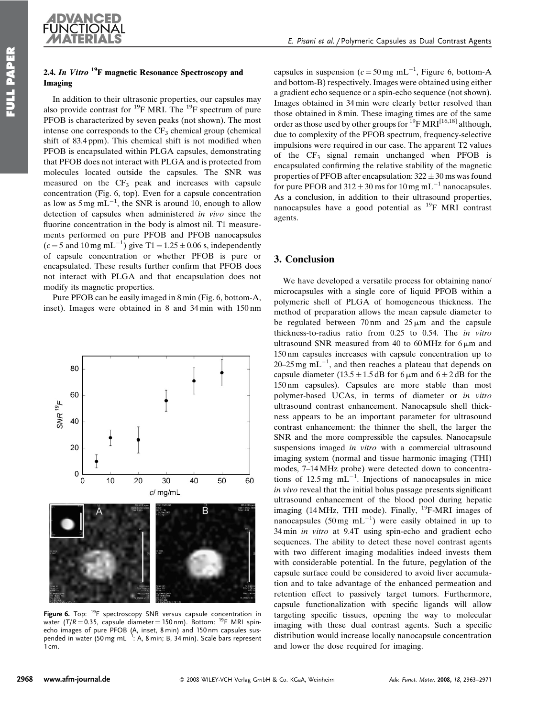# 2.4. In Vitro  $19F$  magnetic Resonance Spectroscopy and Imaging

In addition to their ultrasonic properties, our capsules may also provide contrast for <sup>19</sup>F MRI. The <sup>19</sup>F spectrum of pure PFOB is characterized by seven peaks (not shown). The most intense one corresponds to the  $CF_3$  chemical group (chemical shift of 83.4 ppm). This chemical shift is not modified when PFOB is encapsulated within PLGA capsules, demonstrating that PFOB does not interact with PLGA and is protected from molecules located outside the capsules. The SNR was measured on the  $CF_3$  peak and increases with capsule concentration (Fig. 6, top). Even for a capsule concentration as low as  $5 \text{ mg } \text{mL}^{-1}$ , the SNR is around 10, enough to allow detection of capsules when administered in vivo since the fluorine concentration in the body is almost nil. T1 measurements performed on pure PFOB and PFOB nanocapsules  $(c=5 \text{ and } 10 \text{ mg } \text{mL}^{-1})$  give T1 = 1.25  $\pm$  0.06 s, independently of capsule concentration or whether PFOB is pure or encapsulated. These results further confirm that PFOB does not interact with PLGA and that encapsulation does not modify its magnetic properties.

Pure PFOB can be easily imaged in 8 min (Fig. 6, bottom-A, inset). Images were obtained in 8 and 34 min with 150 nm



Figure 6. Top: <sup>19</sup>F spectroscopy SNR versus capsule concentration in water ( $T/R = 0.35$ , capsule diameter = 150 nm). Bottom: <sup>19</sup>F MRI spinecho images of pure PFOB (A, inset, 8 min) and 150 nm capsules sus-<br>pended in water (50 mg mL<sup>–1</sup>: A, 8 min; B, 34 min). Scale bars represent  $1 \, \text{cm}$ 

capsules in suspension ( $c = 50$  mg mL<sup>-1</sup>, Figure 6, bottom-A and bottom-B) respectively. Images were obtained using either a gradient echo sequence or a spin-echo sequence (not shown). Images obtained in 34 min were clearly better resolved than those obtained in 8 min. These imaging times are of the same order as those used by other groups for <sup>19</sup>F MRI<sup>[16,18]</sup> although, due to complexity of the PFOB spectrum, frequency-selective impulsions were required in our case. The apparent T2 values of the  $CF_3$  signal remain unchanged when PFOB is encapsulated confirming the relative stability of the magnetic properties of PFOB after encapsulation:  $322 \pm 30$  ms was found for pure PFOB and  $312 \pm 30$  ms for  $10$  mg mL<sup>-1</sup> nanocapsules. As a conclusion, in addition to their ultrasound properties, nanocapsules have a good potential as  $^{19}$ F MRI contrast agents.

# 3. Conclusion

We have developed a versatile process for obtaining nano/ microcapsules with a single core of liquid PFOB within a polymeric shell of PLGA of homogeneous thickness. The method of preparation allows the mean capsule diameter to be regulated between  $70 \text{ nm}$  and  $25 \mu \text{ m}$  and the capsule thickness-to-radius ratio from 0.25 to 0.54. The in vitro ultrasound SNR measured from 40 to  $60$  MHz for  $6 \mu m$  and 150 nm capsules increases with capsule concentration up to 20–25 mg mL<sup>-1</sup>, and then reaches a plateau that depends on capsule diameter  $(13.5 \pm 1.5 \text{ dB}$  for 6  $\mu$ m and 6  $\pm 2 \text{ dB}$  for the 150 nm capsules). Capsules are more stable than most polymer-based UCAs, in terms of diameter or in vitro ultrasound contrast enhancement. Nanocapsule shell thickness appears to be an important parameter for ultrasound contrast enhancement: the thinner the shell, the larger the SNR and the more compressible the capsules. Nanocapsule suspensions imaged in vitro with a commercial ultrasound imaging system (normal and tissue harmonic imaging (THI) modes, 7–14 MHz probe) were detected down to concentrations of 12.5 mg  $mL^{-1}$ . Injections of nanocapsules in mice in vivo reveal that the initial bolus passage presents significant ultrasound enhancement of the blood pool during hepatic imaging (14 MHz, THI mode). Finally,  $^{19}$ F-MRI images of nanocapsules (50 mg mL<sup>-1</sup>) were easily obtained in up to 34 min in vitro at 9.4T using spin-echo and gradient echo sequences. The ability to detect these novel contrast agents with two different imaging modalities indeed invests them with considerable potential. In the future, pegylation of the capsule surface could be considered to avoid liver accumulation and to take advantage of the enhanced permeation and retention effect to passively target tumors. Furthermore, capsule functionalization with specific ligands will allow targeting specific tissues, opening the way to molecular imaging with these dual contrast agents. Such a specific distribution would increase locally nanocapsule concentration and lower the dose required for imaging.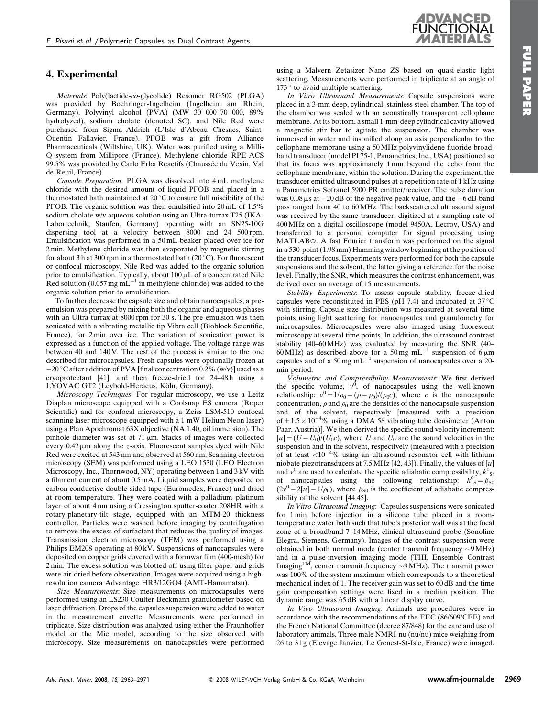**WANCED** 

# 4. Experimental

Materials: Poly(lactide-co-glycolide) Resomer RG502 (PLGA) was provided by Boehringer-Ingelheim (Ingelheim am Rhein, Germany). Polyvinyl alcohol (PVA) (MW 30 000–70 000, 89% hydrolyzed), sodium cholate (denoted SC), and Nile Red were purchased from Sigma–Aldrich (L'Isle d'Abeau Chesnes, Saint-Quentin Fallavier, France). PFOB was a gift from Alliance Pharmaceuticals (Wiltshire, UK). Water was purified using a Milli-Q system from Millipore (France). Methylene chloride RPE-ACS 99.5% was provided by Carlo Erba Reactifs (Chaussée du Vexin, Val de Reuil, France).

Capsule Preparation: PLGA was dissolved into 4 mL methylene chloride with the desired amount of liquid PFOB and placed in a thermostated bath maintained at  $20^{\circ}$ C to ensure full miscibility of the PFOB. The organic solution was then emulsified into 20 mL of 1.5% sodium cholate w/v aqueous solution using an Ultra-turrax T25 (IKA-Labortechnik, Staufen, Germany) operating with an SN25-10G dispersing tool at a velocity between 8000 and 24 500 rpm. Emulsification was performed in a 50 mL beaker placed over ice for 2 min. Methylene chloride was then evaporated by magnetic stirring for about 3 h at 300 rpm in a thermostated bath (20 $\degree$ C). For fluorescent or confocal microscopy, Nile Red was added to the organic solution prior to emulsification. Typically, about  $100 \mu L$  of a concentrated Nile Red solution (0.057 mg mL<sup> $-1$ </sup> in methylene chloride) was added to the organic solution prior to emulsification.

To further decrease the capsule size and obtain nanocapsules, a preemulsion was prepared by mixing both the organic and aqueous phases with an Ultra-turrax at 8000 rpm for 30 s. The pre-emulsion was then sonicated with a vibrating metallic tip Vibra cell (Bioblock Scientific, France), for 2 min over ice. The variation of sonication power is expressed as a function of the applied voltage. The voltage range was between 40 and 140 V. The rest of the process is similar to the one described for microcapsules. Fresh capsules were optionally frozen at  $-20$  °C after addition of PVA [final concentration 0.2% (w/v)] used as a cryoprotectant [41], and then freeze-dried for 24–48 h using a LYOVAC GT2 (Leybold-Heraeus, Köln, Germany).

Microscopy Techniques: For regular microscopy, we use a Leitz Diaplan microscope equipped with a Coolsnap ES camera (Roper Scientific) and for confocal microscopy, a Zeiss LSM-510 confocal scanning laser microscope equipped with a 1 mW Helium Neon laser) using a Plan Apochromat 63X objective (NA 1.40, oil immersion). The pinhole diameter was set at  $71 \mu m$ . Stacks of images were collected every  $0.42 \mu m$  along the *z*-axis. Fluorescent samples dyed with Nile Red were excited at 543 nm and observed at 560 nm. Scanning electron microscopy (SEM) was performed using a LEO 1530 (LEO Electron Microscopy, Inc., Thornwood, NY) operating between 1 and 3 kV with a filament current of about 0.5 mA. Liquid samples were deposited on carbon conductive double-sided tape (Euromedex, France) and dried at room temperature. They were coated with a palladium–platinum layer of about 4 nm using a Cressington sputter-coater 208HR with a rotary-planetary-tilt stage, equipped with an MTM-20 thickness controller. Particles were washed before imaging by centrifugation to remove the excess of surfactant that reduces the quality of images. Transmission electron microscopy (TEM) was performed using a Philips EM208 operating at 80 kV. Suspensions of nanocapsules were deposited on copper grids covered with a formwar film (400-mesh) for 2 min. The excess solution was blotted off using filter paper and grids were air-dried before observation. Images were acquired using a highresolution camera Advantage HR3/12GO4 (AMT-Hamamatsu).

Size Measurements: Size measurements on microcapsules were performed using an LS230 Coulter-Beckmann granulometer based on laser diffraction. Drops of the capsules suspension were added to water in the measurement cuvette. Measurements were performed in triplicate. Size distribution was analyzed using either the Fraunhoffer model or the Mie model, according to the size observed with microscopy. Size measurements on nanocapsules were performed using a Malvern Zetasizer Nano ZS based on quasi-elastic light scattering. Measurements were performed in triplicate at an angle of  $173°$  to avoid multiple scattering.

In Vitro Ultrasound Measurements: Capsule suspensions were placed in a 3-mm deep, cylindrical, stainless steel chamber. The top of the chamber was sealed with an acoustically transparent cellophane membrane. At its bottom, a small 1-mm-deep cylindrical cavity allowed a magnetic stir bar to agitate the suspension. The chamber was immersed in water and insonified along an axis perpendicular to the cellophane membrane using a 50 MHz polyvinylidene fluoride broadband transducer (model PI 75-1, Panametrics, Inc., USA) positioned so that its focus was approximately 1 mm beyond the echo from the cellophane membrane, within the solution. During the experiment, the transducer emitted ultrasound pulses at a repetition rate of 1 kHz using a Panametrics Sofranel 5900 PR emitter/receiver. The pulse duration was  $0.08 \mu s$  at  $-20 dB$  of the negative peak value, and the  $-6 dB$  band pass ranged from 40 to 60 MHz. The backscattered ultrasound signal was received by the same transducer, digitized at a sampling rate of 400 MHz on a digital oscilloscope (model 9450A, Lecroy, USA) and transferred to a personal computer for signal processing using MATLAB©. A fast Fourier transform was performed on the signal in a 530-point (1.98 mm) Hamming window beginning at the position of the transducer focus. Experiments were performed for both the capsule suspensions and the solvent, the latter giving a reference for the noise level. Finally, the SNR, which measures the contrast enhancement, was derived over an average of 15 measurements.

Stability Experiments: To assess capsule stability, freeze-dried capsules were reconstituted in PBS (pH 7.4) and incubated at  $37^{\circ}$ C with stirring. Capsule size distribution was measured at several time points using light scattering for nanocapsules and granulometry for microcapsules. Microcapsules were also imaged using fluorescent microscopy at several time points. In addition, the ultrasound contrast stability (40–60 MHz) was evaluated by measuring the SNR (40– 60 MHz) as described above for a 50 mg mL<sup>-1</sup> suspension of 6  $\mu$ m capsules and of a 50 mg  $mL^{-1}$  suspension of nanocapsules over a 20min period.

Volumetric and Compressibility Measurements: We first derived the specific volume,  $v^0$ , of nanocapsules using the well-known relationship:  $v^0 = 1/\rho_0 - (\rho - \rho_0)/(\rho_0 c)$ , where c is the nanocapsule concentration,  $\rho$  and  $\rho_0$  are the densities of the nanocapsule suspension and of the solvent, respectively [measured with a precision of  $\pm$  1.5  $\times$  10<sup>-4</sup>% using a DMA 58 vibrating tube densimeter (Anton Paar, Austria)]. We then derived the specific sound velocity increment:  $[u] = (U - U_0)/(U_0c)$ , where U and  $U_0$  are the sound velocities in the suspension and in the solvent, respectively (measured with a precision of at least  $<$ 10<sup>-4</sup>% using an ultrasound resonator cell with lithium niobate piezotransducers at 7.5 MHz [42, 43]). Finally, the values of  $[u]$ and  $v^0$  are used to calculate the specific adiabatic compressibility,  $k^0$ <sub>S</sub>, of nanocapsules using the following relationship:  $k_{\text{S}}^0 = \beta_{\text{SO}}$  $(2v^0 - 2[u] - 1/\rho_0)$ , where  $\beta_{\text{SO}}$  is the coefficient of adiabatic compressibility of the solvent [44,45].

In Vitro Ultrasound Imaging: Capsules suspensions were sonicated for 1 min before injection in a silicone tube placed in a roomtemperature water bath such that tube's posterior wall was at the focal zone of a broadband 7–14 MHz, clinical ultrasound probe (Sonoline Elegra, Siemens, Germany). Images of the contrast suspension were obtained in both normal mode (center transmit frequency  $\sim$ 9 MHz) and in a pulse-inversion imaging mode (THI, Ensemble Contrast<br>Imaging<sup>TM</sup>, center transmit frequency ~9MHz). The transmit power was 100% of the system maximum which corresponds to a theoretical mechanical index of 1. The receiver gain was set to 60 dB and the time gain compensation settings were fixed in a median position. The dynamic range was 65 dB with a linear display curve.

In Vivo Ultrasound Imaging: Animals use procedures were in accordance with the recommendations of the EEC (86/609/CEE) and the French National Committee (decree 87/848) for the care and use of laboratory animals. Three male NMRI-nu (nu/nu) mice weighing from 26 to 31 g (Elevage Janvier, Le Genest-St-Isle, France) were imaged.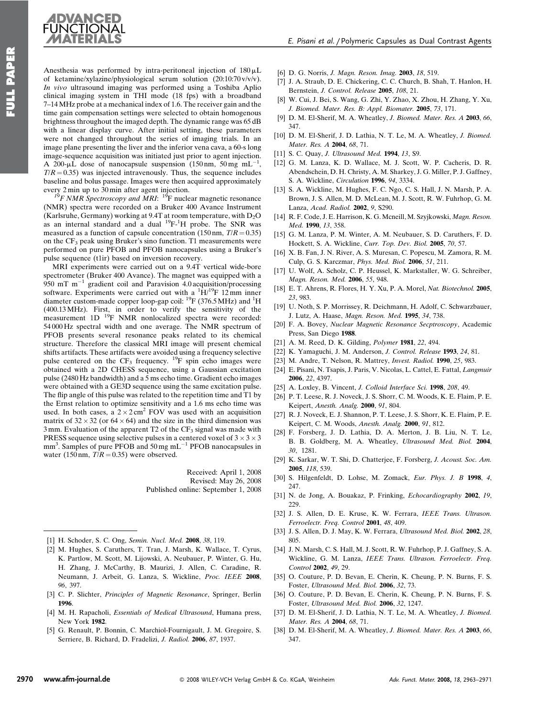

Anesthesia was performed by intra-peritoneal injection of  $180 \mu L$ of ketamine/xylazine/physiological serum solution (20:10:70 v/v/v). In vivo ultrasound imaging was performed using a Toshiba Aplio clinical imaging system in THI mode (18 fps) with a broadband 7–14 MHz probe at a mechanical index of 1.6. The receiver gain and the time gain compensation settings were selected to obtain homogenous brightness throughout the imaged depth. The dynamic range was 65 dB with a linear display curve. After initial setting, these parameters were not changed throughout the series of imaging trials. In an image plane presenting the liver and the inferior vena cava, a 60-s long image-sequence acquisition was initiated just prior to agent injection. A 200-µL dose of nanocapsule suspension  $(150 \text{ nm}, 50 \text{ mg} \text{ mL}^{-1})$ ,  $T/R = 0.35$ ) was injected intravenously. Thus, the sequence includes baseline and bolus passage. Images were then acquired approximately

every 2 min up to 30 min after agent injection.<br><sup>19</sup>F NMR Spectroscopy and MRI: <sup>19</sup>F nuclear magnetic resonance (NMR) spectra were recorded on a Bruker 400 Avance Instrument (Karlsruhe, Germany) working at 9.4T at room temperature, with  $D_2O$ as an internal standard and a dual  $^{19}F^{-1}H$  probe. The SNR was measured as a function of capsule concentration (150 nm,  $T/R = 0.35$ ) on the  $CF_3$  peak using Bruker's sino function. T1 measurements were performed on pure PFOB and PFOB nanocapsules using a Bruker's pulse sequence (t1ir) based on inversion recovery.

MRI experiments were carried out on a 9.4T vertical wide-bore spectrometer (Bruker 400 Avance). The magnet was equipped with a 950 mT  $m^{-1}$  gradient coil and Paravision 4.0 acquisition/processing software. Experiments were carried out with a  ${}^{1}H/{}^{19}F$  12 mm inner diameter custom-made copper loop-gap coil:  $^{19}F$  (376.5 MHz) and  $^{1}H$ (400.13 MHz). First, in order to verify the sensitivity of the measurement 1D <sup>19</sup>F NMR nonlocalized spectra were recorded: 54 000 Hz spectral width and one average. The NMR spectrum of PFOB presents several resonance peaks related to its chemical structure. Therefore the classical MRI image will present chemical shifts artifacts. These artifacts were avoided using a frequency selective pulse centered on the  $CF_3$  frequency. <sup>19</sup>F spin echo images were obtained with a 2D CHESS sequence, using a Gaussian excitation pulse (2480 Hz bandwidth) and a 5 ms echo time. Gradient echo images were obtained with a GE3D sequence using the same excitation pulse. The flip angle of this pulse was related to the repetition time and T1 by the Ernst relation to optimize sensitivity and a 1.6 ms echo time was used. In both cases, a  $2 \times 2 \text{ cm}^2$  FOV was used with an acquisition matrix of  $32 \times 32$  (or  $64 \times 64$ ) and the size in the third dimension was  $3 \text{ mm}$ . Evaluation of the apparent T2 of the CF<sub>3</sub> signal was made with PRESS sequence using selective pulses in a centered voxel of  $3 \times 3 \times 3$  $mm<sup>3</sup>$ . Samples of pure PFOB and 50 mg mL<sup>-1</sup> PFOB nanocapsules in water (150 nm,  $T/R = 0.35$ ) were observed.

> Received: April 1, 2008 Revised: May 26, 2008 Published online: September 1, 2008

- [1] H. Schoder, S. C. Ong, Semin. Nucl. Med. 2008, 38, 119.
- [2] M. Hughes, S. Caruthers, T. Tran, J. Marsh, K. Wallace, T. Cyrus, K. Partlow, M. Scott, M. Lijowski, A. Neubauer, P. Winter, G. Hu, H. Zhang, J. McCarthy, B. Maurizi, J. Allen, C. Caradine, R. Neumann, J. Arbeit, G. Lanza, S. Wickline, Proc. IEEE 2008, 96, 397.
- [3] C. P. Slichter, Principles of Magnetic Resonance, Springer, Berlin 1996.
- [4] M. H. Rapacholi, *Essentials of Medical Ultrasound*, Humana press, New York 1982.
- [5] G. Renault, P. Bonnin, C. Marchiol-Fournigault, J. M. Gregoire, S. Serriere, B. Richard, D. Fradelizi, J. Radiol. 2006, 87, 1937.
- [6] D. G. Norris, J. Magn. Reson. Imag. 2003, 18, 519.
- [7] J. A. Straub, D. E. Chickering, C. C. Church, B. Shah, T. Hanlon, H. Bernstein, J. Control. Release 2005, 108, 21.
- [8] W. Cui, J. Bei, S. Wang, G. Zhi, Y. Zhao, X. Zhou, H. Zhang, Y. Xu, J. Biomed. Mater. Res. B: Appl. Biomater. 2005, 73, 171.
- [9] D. M. El-Sherif, M. A. Wheatley, J. Biomed. Mater. Res. A 2003, 66, 347.
- [10] D. M. El-Sherif, J. D. Lathia, N. T. Le, M. A. Wheatley, J. Biomed. Mater. Res. A 2004, 68, 71.
- [11] S. C. Quay, J. Ultrasound Med. 1994, 13, S9.
- [12] G. M. Lanza, K. D. Wallace, M. J. Scott, W. P. Cacheris, D. R. Abendschein, D. H. Christy, A. M. Sharkey, J. G. Miller, P. J. Gaffney, S. A. Wickline, Circulation 1996, 94, 3334.
- [13] S. A. Wickline, M. Hughes, F. C. Ngo, C. S. Hall, J. N. Marsh, P. A. Brown, J. S. Allen, M. D. McLean, M. J. Scott, R. W. Fuhrhop, G. M. Lanza, Acad. Radiol. 2002, 9, S290.
- [14] R. F. Code, J. E. Harrison, K. G. Mcneill, M. Szyjkowski, Magn. Reson. Med. 1990, 13, 358.
- [15] G. M. Lanza, P. M. Winter, A. M. Neubauer, S. D. Caruthers, F. D. Hockett, S. A. Wickline, Curr. Top. Dev. Biol. 2005, 70, 57.
- [16] X. B. Fan, J. N. River, A. S. Muresan, C. Popescu, M. Zamora, R. M. Culp, G. S. Karczmar, Phys. Med. Biol. 2006, 51, 211.
- [17] U. Wolf, A. Scholz, C. P. Heussel, K. Markstaller, W. G. Schreiber, Magn. Reson. Med. 2006, 55, 948.
- [18] E. T. Ahrens, R. Flores, H. Y. Xu, P. A. Morel, Nat. Biotechnol. 2005, 23, 983.
- [19] U. Noth, S. P. Morrissey, R. Deichmann, H. Adolf, C. Schwarzbauer, J. Lutz, A. Haase, Magn. Reson. Med. 1995, 34, 738.
- [20] F. A. Bovey, Nuclear Magnetic Resonance Secptroscopy, Academic Press, San Diego 1988.
- [21] A. M. Reed, D. K. Gilding, Polymer 1981, 22, 494.
- [22] K. Yamaguchi, J. M. Anderson, J. Control. Release 1993, 24, 81.
- [23] M. Andre, T. Nelson, R. Mattrey, *Invest. Radiol.* **1990**, 25, 983.
- [24] E. Pisani, N. Tsapis, J. Paris, V. Nicolas, L. Cattel, E. Fattal, Langmuir 2006, 22, 4397.
- [25] A. Loxley, B. Vincent, J. Colloid Interface Sci. 1998, 208, 49.
- [26] P. T. Leese, R. J. Noveck, J. S. Shorr, C. M. Woods, K. E. Flaim, P. E. Keipert, Anesth. Analg. 2000, 91, 804.
- [27] R. J. Noveck, E. J. Shannon, P. T. Leese, J. S. Shorr, K. E. Flaim, P. E. Keipert, C. M. Woods, Anesth. Analg. 2000, 91, 812.
- [28] F. Forsberg, J. D. Lathia, D. A. Merton, J. B. Liu, N. T. Le, B. B. Goldberg, M. A. Wheatley, Ultrasound Med. Biol. 2004, 30, 1281.
- [29] K. Sarkar, W. T. Shi, D. Chatterjee, F. Forsberg, J. Acoust. Soc. Am. 2005, 118, 539.
- [30] S. Hilgenfeldt, D. Lohse, M. Zomack, Eur. Phys. J. B 1998, 4, 247.
- [31] N. de Jong, A. Bouakaz, P. Frinking, *Echocardiography* 2002, 19, 229.
- [32] J. S. Allen, D. E. Kruse, K. W. Ferrara, IEEE Trans. Ultrason. Ferroelectr. Freq. Control 2001, 48, 409.
- [33] J. S. Allen, D. J. May, K. W. Ferrara, Ultrasound Med. Biol. 2002, 28, 805.
- [34] J. N. Marsh, C. S. Hall, M. J. Scott, R. W. Fuhrhop, P. J. Gaffney, S. A. Wickline, G. M. Lanza, IEEE Trans. Ultrason. Ferroelectr. Freq. Control 2002, 49, 29.
- [35] O. Couture, P. D. Bevan, E. Cherin, K. Cheung, P. N. Burns, F. S. Foster, Ultrasound Med. Biol. 2006, 32, 73.
- [36] O. Couture, P. D. Bevan, E. Cherin, K. Cheung, P. N. Burns, F. S. Foster, Ultrasound Med. Biol. 2006, 32, 1247.
- [37] D. M. El-Sherif, J. D. Lathia, N. T. Le, M. A. Wheatley, J. Biomed. Mater. Res. A 2004, 68, 71.
- [38] D. M. El-Sherif, M. A. Wheatley, J. Biomed. Mater. Res. A 2003, 66, 347.